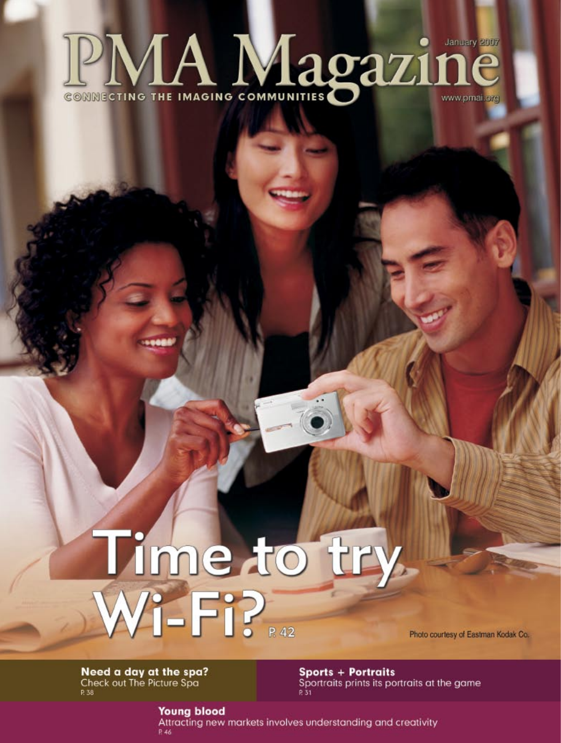# PMA Magazin January 2007 www.pmai.org

# Time to try.<br>Wi-Fi?

Photo courtesy of Eastman Kodak Co.

Need a day at the spa? Check out The Picture Spa P. 38

**Sports + Portraits** Sportraits prints its portraits at the game P 31

**Young blood** Attracting new markets involves understanding and creativity  $R$  46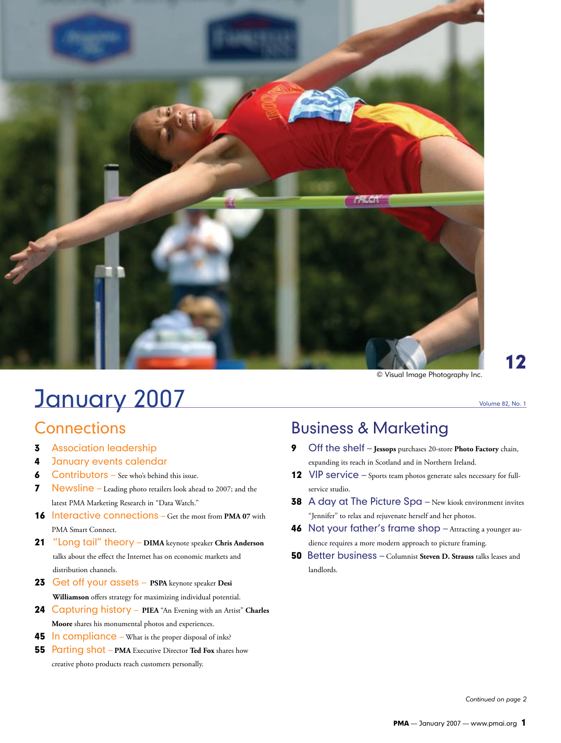

# **January 2007** Volume 82, No. 1

### **Connections**

- **3** Association leadership
- 4 January events calendar
- **6** Contributors See who's behind this issue.
- 7 Newsline Leading photo retailers look ahead to 2007; and the latest PMA Marketing Research in "Data Watch."
- 16 Interactive connections Get the most from **PMA 07** with PMA Smart Connect.
- 21 "Long tail" theory – **DIMA** keynote speaker **Chris Anderson**  talks about the effect the Internet has on economic markets and distribution channels.
- 23Get off your assets – **PSPA** keynote speaker **Desi Williamson** offers strategy for maximizing individual potential.
- 24Capturing history – **PIEA** "An Evening with an Artist" **Charles Moore** shares his monumental photos and experiences.
- **45 In compliance** What is the proper disposal of inks?
- 55Parting shot – **PMA** Executive Director **Ted Fox** shares how creative photo products reach customers personally.

## Business & Marketing

- 9 Off the shelf – **Jessops** purchases 20-store **Photo Factory** chain, expanding its reach in Scotland and in Northern Ireland.
- 12 VIP service Sports team photos generate sales necessary for fullservice studio.
- 38A day at The Picture Spa New kiosk environment invites "Jennifer" to relax and rejuvenate herself and her photos.
- 46Not your father's frame shop Attracting a younger audience requires a more modern approach to picture framing.
- 50Better business Columnist **Steven D. Strauss** talks leases and landlords.

12

*Continued on page 2*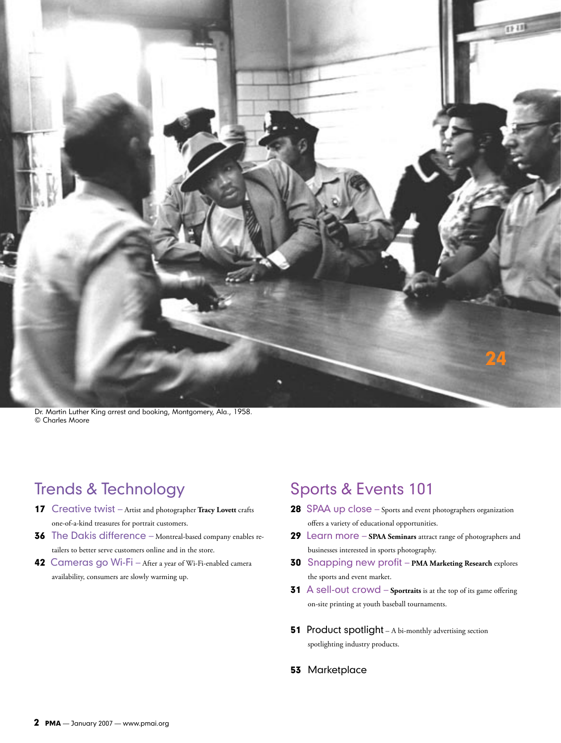

Dr. Martin Luther King arrest and booking, Montgomery, Ala., 1958. © Charles Moore

## Trends & Technology

- 17 Creative twist Artist and photographer **Tracy Lovett** crafts one-of-a-kind treasures for portrait customers.
- 36The Dakis difference Montreal-based company enables retailers to better serve customers online and in the store.
- 42Cameras go Wi-Fi After a year of Wi-Fi-enabled camera availability, consumers are slowly warming up.

## Sports & Events 101

- 28SPAA up close Sports and event photographers organization offers a variety of educational opportunities.
- 29Learn more **SPAA Seminars** attract range of photographers and businesses interested in sports photography.
- 30Snapping new profit **PMA Marketing Research** explores the sports and event market.
- 31A sell-out crowd **Sportraits** is at the top of its game offering on-site printing at youth baseball tournaments.
- **51** Product spotlight A bi-monthly advertising section spotlighting industry products.
- **53 Marketplace**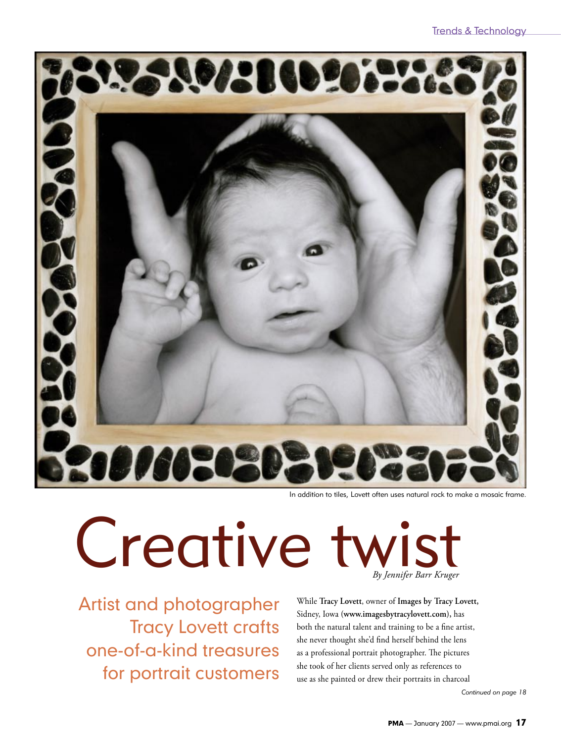

In addition to tiles, Lovett often uses natural rock to make a mosaic frame.

# Creative twist *By Jennifer Barr Kruger*

Artist and photographer Tracy Lovett crafts one-of-a-kind treasures for portrait customers

While **Tracy Lovett**, owner of **Images by Tracy Lovett,** Sidney, Iowa **(www.imagesbytracylovett.com),** has both the natural talent and training to be a fine artist, she never thought she'd find herself behind the lens as a professional portrait photographer. The pictures she took of her clients served only as references to use as she painted or drew their portraits in charcoal

*Continued on page 18*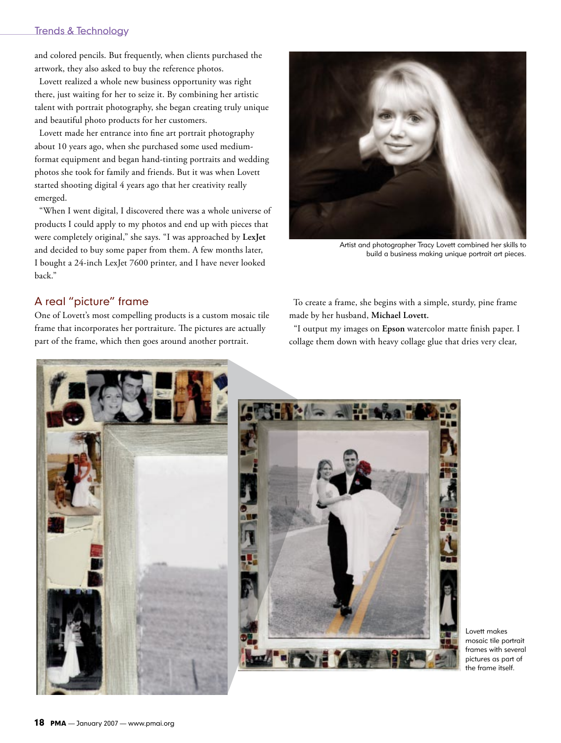#### Trends & Technology

and colored pencils. But frequently, when clients purchased the artwork, they also asked to buy the reference photos.

 Lovett realized a whole new business opportunity was right there, just waiting for her to seize it. By combining her artistic talent with portrait photography, she began creating truly unique and beautiful photo products for her customers.

 Lovett made her entrance into fine art portrait photography about 10 years ago, when she purchased some used mediumformat equipment and began hand-tinting portraits and wedding photos she took for family and friends. But it was when Lovett started shooting digital 4 years ago that her creativity really emerged.

 "When I went digital, I discovered there was a whole universe of products I could apply to my photos and end up with pieces that were completely original," she says. "I was approached by **LexJet**  and decided to buy some paper from them. A few months later, I bought a 24-inch LexJet 7600 printer, and I have never looked back."

Artist and photographer Tracy Lovett combined her skills to build a business making unique portrait art pieces.

#### A real "picture" frame

One of Lovett's most compelling products is a custom mosaic tile frame that incorporates her portraiture. The pictures are actually part of the frame, which then goes around another portrait.

 To create a frame, she begins with a simple, sturdy, pine frame made by her husband, **Michael Lovett.**

 "I output my images on **Epson** watercolor matte finish paper. I collage them down with heavy collage glue that dries very clear,





Lovett makes mosaic tile portrait frames with several pictures as part of the frame itself.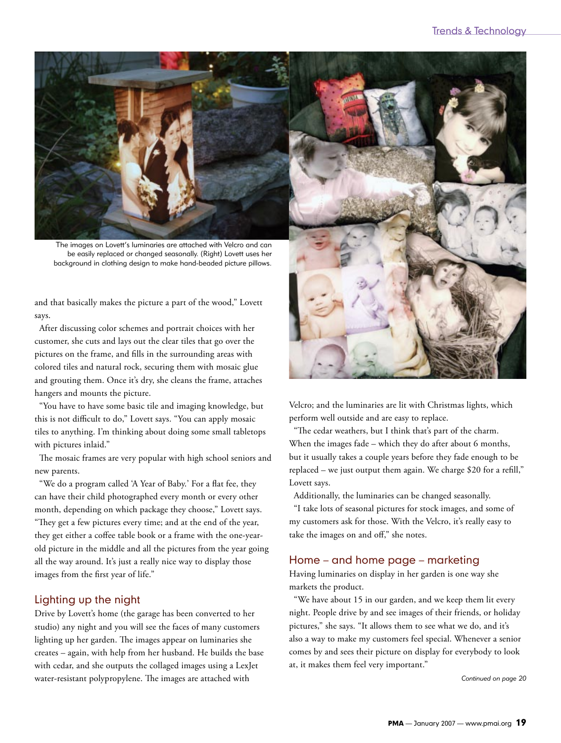

The images on Lovett's luminaries are attached with Velcro and can be easily replaced or changed seasonally. (Right) Lovett uses her background in clothing design to make hand-beaded picture pillows.

and that basically makes the picture a part of the wood," Lovett says.

 After discussing color schemes and portrait choices with her customer, she cuts and lays out the clear tiles that go over the pictures on the frame, and fills in the surrounding areas with colored tiles and natural rock, securing them with mosaic glue and grouting them. Once it's dry, she cleans the frame, attaches hangers and mounts the picture.

 "You have to have some basic tile and imaging knowledge, but this is not difficult to do," Lovett says. "You can apply mosaic tiles to anything. I'm thinking about doing some small tabletops with pictures inlaid."

 The mosaic frames are very popular with high school seniors and new parents.

 "We do a program called 'A Year of Baby.' For a flat fee, they can have their child photographed every month or every other month, depending on which package they choose," Lovett says. "They get a few pictures every time; and at the end of the year, they get either a coffee table book or a frame with the one-yearold picture in the middle and all the pictures from the year going all the way around. It's just a really nice way to display those images from the first year of life."

#### Lighting up the night

Drive by Lovett's home (the garage has been converted to her studio) any night and you will see the faces of many customers lighting up her garden. The images appear on luminaries she creates – again, with help from her husband. He builds the base with cedar, and she outputs the collaged images using a LexJet water-resistant polypropylene. The images are attached with



Velcro; and the luminaries are lit with Christmas lights, which perform well outside and are easy to replace.

 "The cedar weathers, but I think that's part of the charm. When the images fade – which they do after about 6 months, but it usually takes a couple years before they fade enough to be replaced – we just output them again. We charge \$20 for a refill," Lovett says.

Additionally, the luminaries can be changed seasonally.

 "I take lots of seasonal pictures for stock images, and some of my customers ask for those. With the Velcro, it's really easy to take the images on and off," she notes.

#### Home – and home page – marketing

Having luminaries on display in her garden is one way she markets the product.

 "We have about 15 in our garden, and we keep them lit every night. People drive by and see images of their friends, or holiday pictures," she says. "It allows them to see what we do, and it's also a way to make my customers feel special. Whenever a senior comes by and sees their picture on display for everybody to look at, it makes them feel very important."

*Continued on page 20*